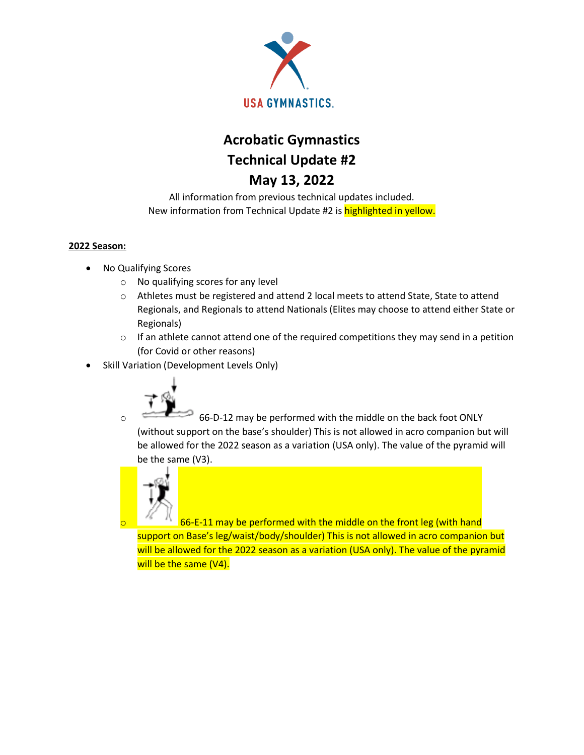

# **Acrobatic Gymnastics Technical Update #2 May 13, 2022**

All information from previous technical updates included. New information from Technical Update #2 is **highlighted in yellow.** 

## **2022 Season:**

- No Qualifying Scores
	- o No qualifying scores for any level
	- o Athletes must be registered and attend 2 local meets to attend State, State to attend Regionals, and Regionals to attend Nationals (Elites may choose to attend either State or Regionals)
	- $\circ$  If an athlete cannot attend one of the required competitions they may send in a petition (for Covid or other reasons)
- Skill Variation (Development Levels Only)



o 66-D-12 may be performed with the middle on the back foot ONLY (without support on the base's shoulder) This is not allowed in acro companion but will be allowed for the 2022 season as a variation (USA only). The value of the pyramid will be the same (V3).



66-E-11 may be performed with the middle on the front leg (with hand support on Base's leg/waist/body/shoulder) This is not allowed in acro companion but will be allowed for the 2022 season as a variation (USA only). The value of the pyramid will be the same (V4).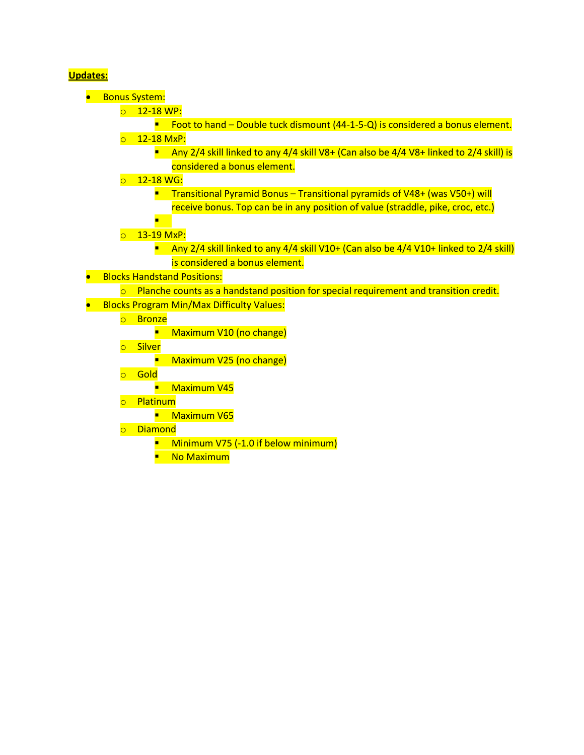# **Updates:**

- Bonus System:
	- $\circ$  12-18 WP:

■ Foot to hand – Double tuck dismount (44-1-5-Q) is considered a bonus element. o 12-18 MxP:

- **E** Any 2/4 skill linked to any 4/4 skill V8+ (Can also be  $4/4$  V8+ linked to 2/4 skill) is considered a bonus element.
- o 12-18 WG:
	- Transitional Pyramid Bonus Transitional pyramids of V48+ (was V50+) will receive bonus. Top can be in any position of value (straddle, pike, croc, etc.)
- o 13-19 MxP:
	- **E** Any 2/4 skill linked to any 4/4 skill V10+ (Can also be 4/4 V10+ linked to 2/4 skill) is considered a bonus element.
- Blocks Handstand Positions:
	- $\circ$  Planche counts as a handstand position for special requirement and transition credit.
- Blocks Program Min/Max Difficulty Values:
	- o Bronze

**■** Maximum V10 (no change)

o Silver

■ Maximum V25 (no change)

o Gold

■ Maximum V45

o Platinum

**■** Maximum V65

- o Diamond
	- **E** Minimum V75 (-1.0 if below minimum)
	- No Maximum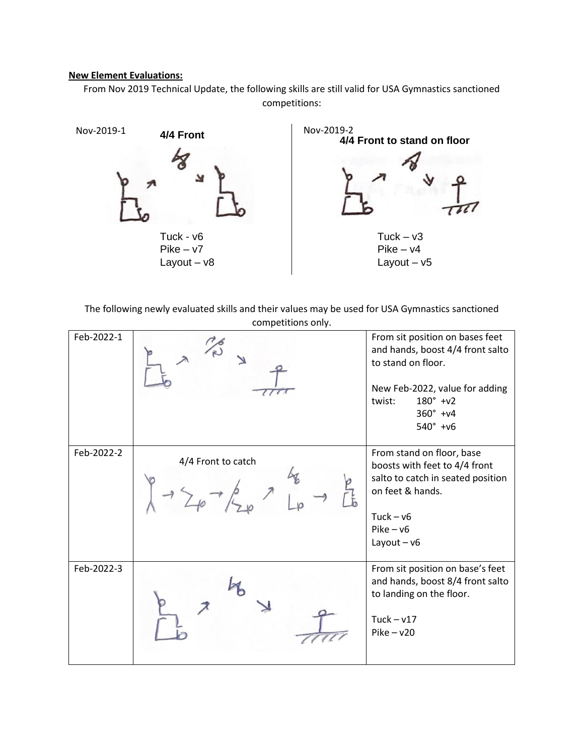#### **New Element Evaluations:**

From Nov 2019 Technical Update, the following skills are still valid for USA Gymnastics sanctioned competitions:



The following newly evaluated skills and their values may be used for USA Gymnastics sanctioned competitions only.

| Feb-2022-1 |                    | From sit position on bases feet<br>and hands, boost 4/4 front salto<br>to stand on floor.<br>New Feb-2022, value for adding<br>$180^{\circ}$ +v2<br>twist:<br>$360^{\circ}$ +v4<br>$540^{\circ}$ +v6 |
|------------|--------------------|------------------------------------------------------------------------------------------------------------------------------------------------------------------------------------------------------|
| Feb-2022-2 | 4/4 Front to catch | From stand on floor, base<br>boosts with feet to 4/4 front<br>salto to catch in seated position<br>on feet & hands.<br>$Tuck - v6$<br>$Pike - v6$<br>Layout $- v6$                                   |
| Feb-2022-3 |                    | From sit position on base's feet<br>and hands, boost 8/4 front salto<br>to landing on the floor.<br>Tuck $-\nu$ 17<br>$Pike - v20$                                                                   |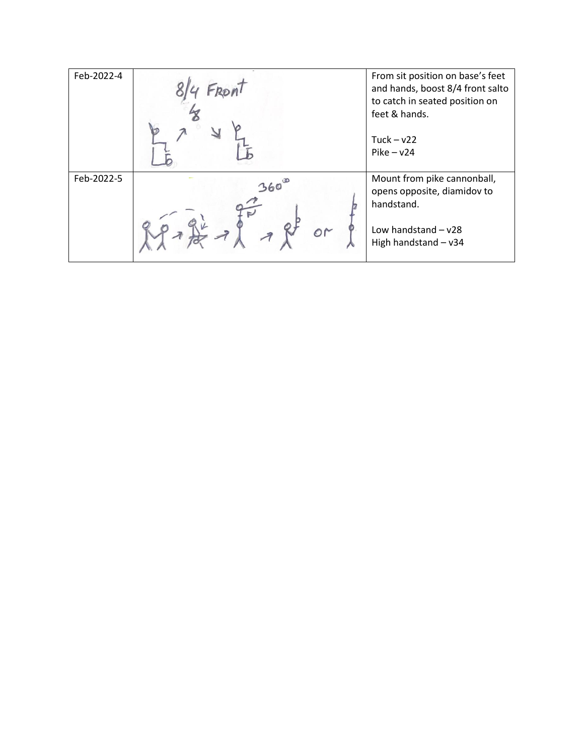| Feb-2022-4 |           | From sit position on base's feet<br>and hands, boost 8/4 front salto<br>to catch in seated position on<br>feet & hands.<br>Tuck $- v22$<br>$Pike - v24$ |
|------------|-----------|---------------------------------------------------------------------------------------------------------------------------------------------------------|
| Feb-2022-5 | 360<br>or | Mount from pike cannonball,<br>opens opposite, diamidov to<br>handstand.<br>Low handstand $- v28$<br>High handstand - v34                               |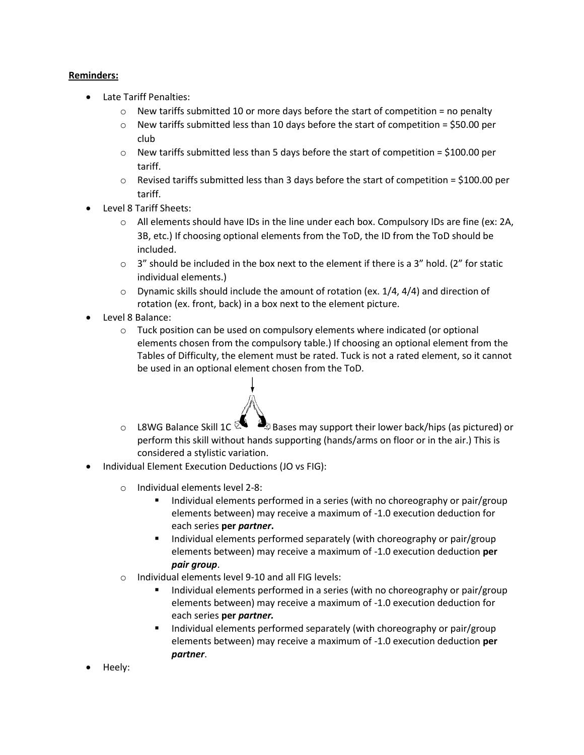## **Reminders:**

- Late Tariff Penalties:
	- $\circ$  New tariffs submitted 10 or more days before the start of competition = no penalty
	- $\circ$  New tariffs submitted less than 10 days before the start of competition = \$50.00 per club
	- $\circ$  New tariffs submitted less than 5 days before the start of competition = \$100.00 per tariff.
	- $\circ$  Revised tariffs submitted less than 3 days before the start of competition = \$100.00 per tariff.
- Level 8 Tariff Sheets:
	- $\circ$  All elements should have IDs in the line under each box. Compulsory IDs are fine (ex: 2A, 3B, etc.) If choosing optional elements from the ToD, the ID from the ToD should be included.
	- $\circ$  3" should be included in the box next to the element if there is a 3" hold. (2" for static individual elements.)
	- $\circ$  Dynamic skills should include the amount of rotation (ex. 1/4, 4/4) and direction of rotation (ex. front, back) in a box next to the element picture.
- Level 8 Balance:
	- $\circ$  Tuck position can be used on compulsory elements where indicated (or optional elements chosen from the compulsory table.) If choosing an optional element from the Tables of Difficulty, the element must be rated. Tuck is not a rated element, so it cannot be used in an optional element chosen from the ToD.
		-
	- $\circ$  L8WG Balance Skill 1C  $\mathbb{S}$  Bases may support their lower back/hips (as pictured) or perform this skill without hands supporting (hands/arms on floor or in the air.) This is considered a stylistic variation.
- Individual Element Execution Deductions (JO vs FIG):
	- o Individual elements level 2-8:
		- Individual elements performed in a series (with no choreography or pair/group elements between) may receive a maximum of -1.0 execution deduction for each series **per** *partner***.**
		- Individual elements performed separately (with choreography or pair/group elements between) may receive a maximum of -1.0 execution deduction **per** *pair group*.
	- o Individual elements level 9-10 and all FIG levels:
		- Individual elements performed in a series (with no choreography or pair/group elements between) may receive a maximum of -1.0 execution deduction for each series **per** *partner.*
		- Individual elements performed separately (with choreography or pair/group elements between) may receive a maximum of -1.0 execution deduction **per**  *partner*.
- Heely: